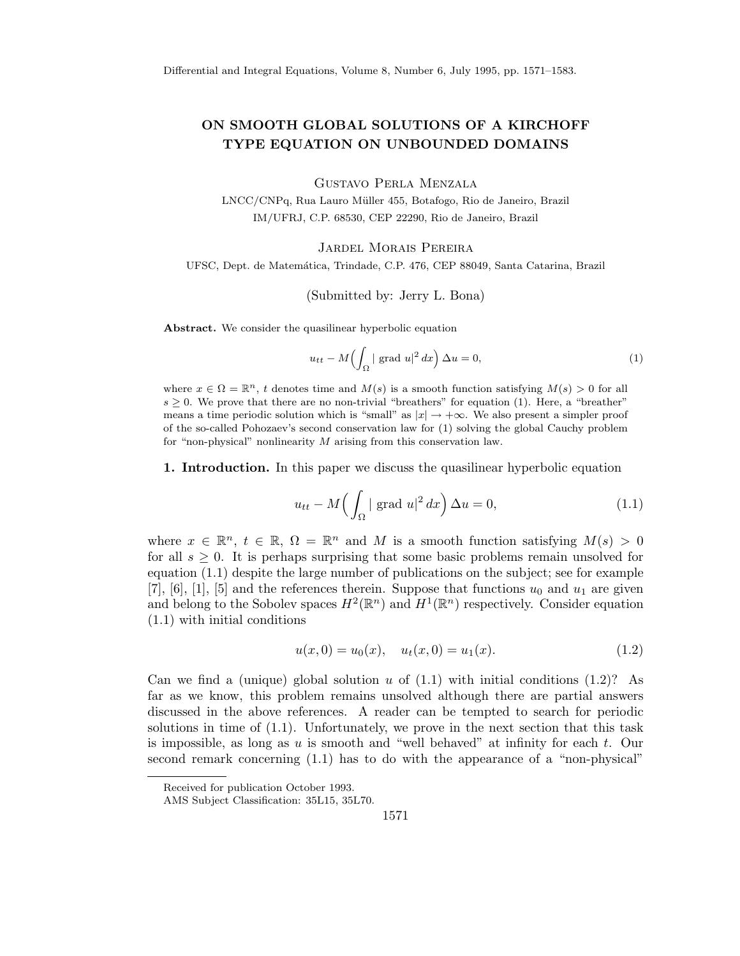## ON SMOOTH GLOBAL SOLUTIONS OF A KIRCHOFF TYPE EQUATION ON UNBOUNDED DOMAINS

Gustavo Perla Menzala

LNCC/CNPq, Rua Lauro Müller 455, Botafogo, Rio de Janeiro, Brazil IM/UFRJ, C.P. 68530, CEP 22290, Rio de Janeiro, Brazil

Jardel Morais Pereira

UFSC, Dept. de Matemática, Trindade, C.P. 476, CEP 88049, Santa Catarina, Brazil

(Submitted by: Jerry L. Bona)

Abstract. We consider the quasilinear hyperbolic equation

$$
u_{tt} - M\left(\int_{\Omega} | \text{ grad } u |^2 dx\right) \Delta u = 0,
$$
\n(1)

where  $x \in \Omega = \mathbb{R}^n$ , *t* denotes time and  $M(s)$  is a smooth function satisfying  $M(s) > 0$  for all  $s \geq 0$ . We prove that there are no non-trivial "breathers" for equation (1). Here, a "breather" means a time periodic solution which is "small" as  $|x| \to +\infty$ . We also present a simpler proof of the so-called Pohozaev's second conservation law for (1) solving the global Cauchy problem for "non-physical" nonlinearity *M* arising from this conservation law.

1. Introduction. In this paper we discuss the quasilinear hyperbolic equation

$$
u_{tt} - M\left(\int_{\Omega} |\operatorname{grad} u|^2 dx\right) \Delta u = 0, \tag{1.1}
$$

where  $x \in \mathbb{R}^n$ ,  $t \in \mathbb{R}$ ,  $\Omega = \mathbb{R}^n$  and M is a smooth function satisfying  $M(s) > 0$ for all  $s \geq 0$ . It is perhaps surprising that some basic problems remain unsolved for equation (1.1) despite the large number of publications on the subject; see for example [7], [6], [1], [5] and the references therein. Suppose that functions  $u_0$  and  $u_1$  are given and belong to the Sobolev spaces  $H^2(\mathbb{R}^n)$  and  $H^1(\mathbb{R}^n)$  respectively. Consider equation (1.1) with initial conditions

$$
u(x,0) = u_0(x), \quad u_t(x,0) = u_1(x). \tag{1.2}
$$

Can we find a (unique) global solution  $u$  of  $(1.1)$  with initial conditions  $(1.2)$ ? As far as we know, this problem remains unsolved although there are partial answers discussed in the above references. A reader can be tempted to search for periodic solutions in time of  $(1.1)$ . Unfortunately, we prove in the next section that this task is impossible, as long as *u* is smooth and "well behaved" at infinity for each *t*. Our second remark concerning (1.1) has to do with the appearance of a "non-physical"

Received for publication October 1993.

AMS Subject Classification: 35L15, 35L70.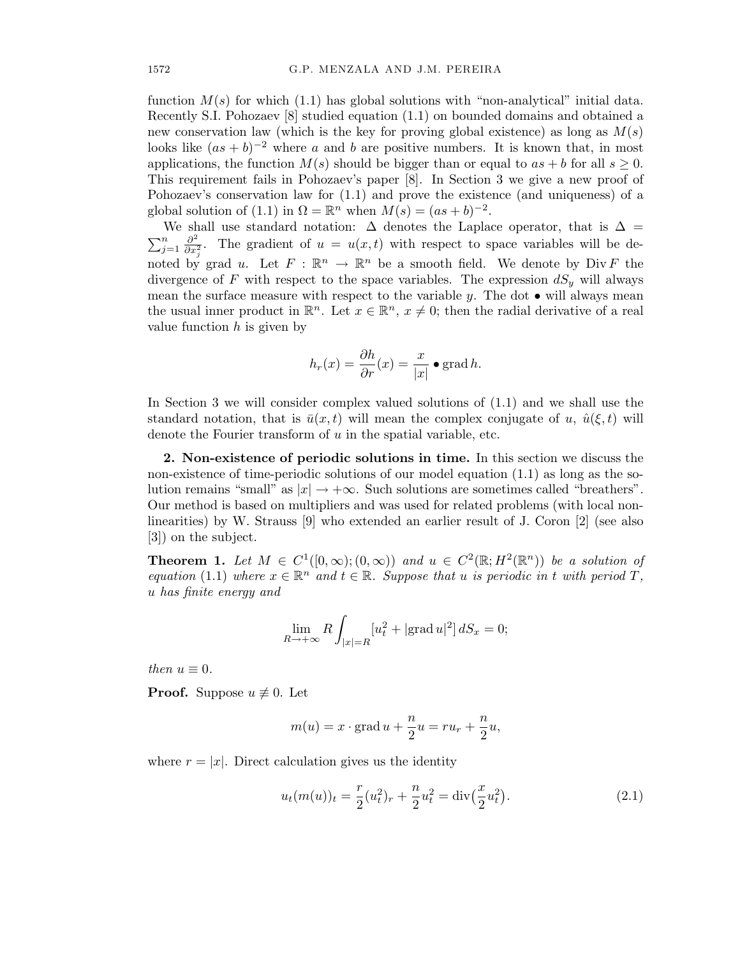function  $M(s)$  for which  $(1.1)$  has global solutions with "non-analytical" initial data. Recently S.I. Pohozaev [8] studied equation (1.1) on bounded domains and obtained a new conservation law (which is the key for proving global existence) as long as *M*(*s*) looks like  $(as + b)^{-2}$  where *a* and *b* are positive numbers. It is known that, in most applications, the function  $M(s)$  should be bigger than or equal to  $as + b$  for all  $s \geq 0$ . This requirement fails in Pohozaev's paper [8]. In Section 3 we give a new proof of Pohozaev's conservation law for (1.1) and prove the existence (and uniqueness) of a global solution of (1.1) in  $\Omega = \mathbb{R}^n$  when  $M(s) = (as + b)^{-2}$ .

We shall use standard notation:  $\Delta$  denotes the Laplace operator, that is  $\Delta =$  $\sum_{j=1}^n \frac{\partial^2}{\partial x^2}$  $\frac{\partial^2}{\partial x_i^2}$ . The gradient of  $u = u(x,t)$  with respect to space variables will be denoted by grad *u*. Let  $F : \mathbb{R}^n \to \mathbb{R}^n$  be a smooth field. We denote by Div F the divergence of *F* with respect to the space variables. The expression  $dS_y$  will always mean the surface measure with respect to the variable *y*. The dot *•* will always mean the usual inner product in  $\mathbb{R}^n$ . Let  $x \in \mathbb{R}^n$ ,  $x \neq 0$ ; then the radial derivative of a real value function *h* is given by

$$
h_r(x) = \frac{\partial h}{\partial r}(x) = \frac{x}{|x|} \bullet \operatorname{grad} h.
$$

In Section 3 we will consider complex valued solutions of (1.1) and we shall use the standard notation, that is  $\bar{u}(x,t)$  will mean the complex conjugate of *u*,  $\hat{u}(\xi,t)$  will denote the Fourier transform of *u* in the spatial variable, etc.

2. Non-existence of periodic solutions in time. In this section we discuss the non-existence of time-periodic solutions of our model equation (1.1) as long as the solution remains "small" as  $|x| \to +\infty$ . Such solutions are sometimes called "breathers". Our method is based on multipliers and was used for related problems (with local nonlinearities) by W. Strauss [9] who extended an earlier result of J. Coron [2] (see also [3]) on the subject.

**Theorem 1.** Let  $M \in C^1([0,\infty);(0,\infty))$  and  $u \in C^2(\mathbb{R}; H^2(\mathbb{R}^n))$  be a solution of *equation* (1.1) *where*  $x \in \mathbb{R}^n$  *and*  $t \in \mathbb{R}$ *. Suppose that u is periodic in t with period T*, *u has finite energy and*

$$
\lim_{R \to +\infty} R \int_{|x|=R} [u_t^2 + |\text{grad } u|^2] dS_x = 0;
$$

*then*  $u \equiv 0$ *.* 

**Proof.** Suppose  $u \not\equiv 0$ . Let

$$
m(u) = x \cdot \text{grad } u + \frac{n}{2}u = ru_r + \frac{n}{2}u,
$$

where  $r = |x|$ . Direct calculation gives us the identity

$$
u_t(m(u))_t = \frac{r}{2}(u_t^2)_r + \frac{n}{2}u_t^2 = \text{div}\left(\frac{x}{2}u_t^2\right).
$$
 (2.1)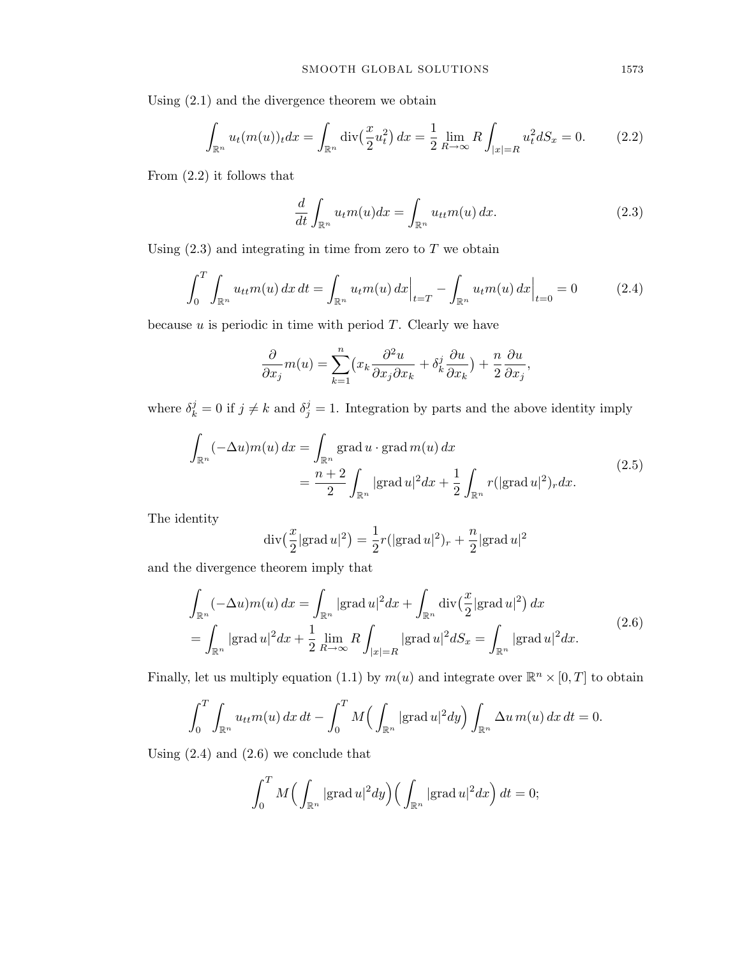Using (2.1) and the divergence theorem we obtain

$$
\int_{\mathbb{R}^n} u_t(m(u))_t dx = \int_{\mathbb{R}^n} \text{div}\left(\frac{x}{2} u_t^2\right) dx = \frac{1}{2} \lim_{R \to \infty} R \int_{|x| = R} u_t^2 dS_x = 0. \tag{2.2}
$$

From (2.2) it follows that

$$
\frac{d}{dt} \int_{\mathbb{R}^n} u_t m(u) dx = \int_{\mathbb{R}^n} u_{tt} m(u) dx.
$$
 (2.3)

Using  $(2.3)$  and integrating in time from zero to  $T$  we obtain

$$
\int_0^T \int_{\mathbb{R}^n} u_{tt} m(u) \, dx \, dt = \int_{\mathbb{R}^n} u_t m(u) \, dx \Big|_{t=T} - \int_{\mathbb{R}^n} u_t m(u) \, dx \Big|_{t=0} = 0 \tag{2.4}
$$

because *u* is periodic in time with period *T*. Clearly we have

$$
\frac{\partial}{\partial x_j}m(u) = \sum_{k=1}^n \left(x_k \frac{\partial^2 u}{\partial x_j \partial x_k} + \delta^j_k \frac{\partial u}{\partial x_k}\right) + \frac{n}{2} \frac{\partial u}{\partial x_j},
$$

where  $\delta_k^j = 0$  if  $j \neq k$  and  $\delta_j^j = 1$ . Integration by parts and the above identity imply

$$
\int_{\mathbb{R}^n} (-\Delta u) m(u) dx = \int_{\mathbb{R}^n} \operatorname{grad} u \cdot \operatorname{grad} m(u) dx
$$
\n
$$
= \frac{n+2}{2} \int_{\mathbb{R}^n} |\operatorname{grad} u|^2 dx + \frac{1}{2} \int_{\mathbb{R}^n} r(|\operatorname{grad} u|^2)_r dx. \tag{2.5}
$$

The identity

$$
\operatorname{div}\left(\frac{x}{2}|\operatorname{grad} u|^2\right) = \frac{1}{2}r(|\operatorname{grad} u|^2)_r + \frac{n}{2}|\operatorname{grad} u|^2
$$

and the divergence theorem imply that

$$
\int_{\mathbb{R}^n} (-\Delta u) m(u) dx = \int_{\mathbb{R}^n} |\text{grad } u|^2 dx + \int_{\mathbb{R}^n} \text{div} \left(\frac{x}{2} |\text{grad } u|^2\right) dx
$$
\n
$$
= \int_{\mathbb{R}^n} |\text{grad } u|^2 dx + \frac{1}{2} \lim_{R \to \infty} R \int_{|x|=R} |\text{grad } u|^2 dS_x = \int_{\mathbb{R}^n} |\text{grad } u|^2 dx. \tag{2.6}
$$

Finally, let us multiply equation (1.1) by  $m(u)$  and integrate over  $\mathbb{R}^n \times [0, T]$  to obtain

$$
\int_0^T \int_{\mathbb{R}^n} u_{tt} m(u) \, dx \, dt - \int_0^T M \Big( \int_{\mathbb{R}^n} |\text{grad } u|^2 dy \Big) \int_{\mathbb{R}^n} \Delta u \, m(u) \, dx \, dt = 0.
$$

Using  $(2.4)$  and  $(2.6)$  we conclude that

$$
\int_0^T M\Big(\int_{\mathbb{R}^n} |\mathrm{grad}\, u|^2 dy\Big) \Big(\int_{\mathbb{R}^n} |\mathrm{grad}\, u|^2 dx\Big) dt = 0;
$$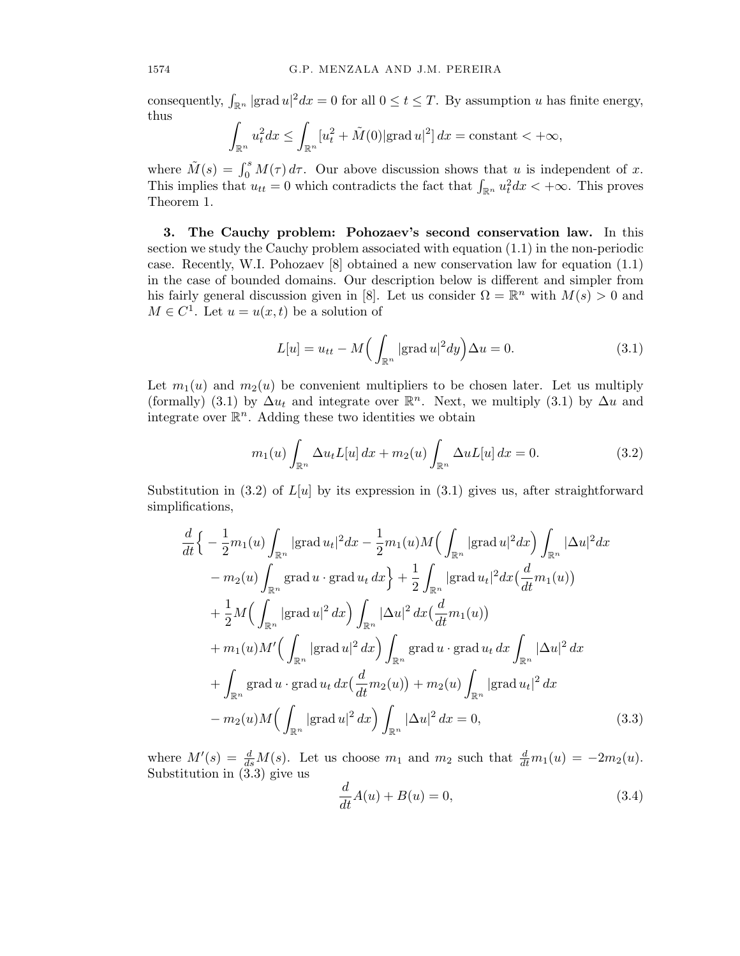consequently,  $\int_{\mathbb{R}^n} |\text{grad } u|^2 dx = 0$  for all  $0 \le t \le T$ . By assumption *u* has finite energy, thus

$$
\int_{\mathbb{R}^n} u_t^2 dx \le \int_{\mathbb{R}^n} [u_t^2 + \tilde{M}(0)| \operatorname{grad} u|^2] dx = \text{constant} < +\infty,
$$

where  $\tilde{M}(s) = \int_0^s M(\tau) d\tau$ . Our above discussion shows that *u* is independent of *x*. This implies that  $u_{tt} = 0$  which contradicts the fact that  $\int_{\mathbb{R}^n} u_t^2 dx < +\infty$ . This proves Theorem 1.

3. The Cauchy problem: Pohozaev's second conservation law. In this section we study the Cauchy problem associated with equation (1.1) in the non-periodic case. Recently, W.I. Pohozaev [8] obtained a new conservation law for equation (1.1) in the case of bounded domains. Our description below is different and simpler from his fairly general discussion given in [8]. Let us consider  $\Omega = \mathbb{R}^n$  with  $M(s) > 0$  and  $M \in C<sup>1</sup>$ . Let  $u = u(x, t)$  be a solution of

$$
L[u] = u_{tt} - M\left(\int_{\mathbb{R}^n} |\text{grad } u|^2 dy\right) \Delta u = 0.
$$
 (3.1)

Let  $m_1(u)$  and  $m_2(u)$  be convenient multipliers to be chosen later. Let us multiply (formally) (3.1) by  $\Delta u_t$  and integrate over  $\mathbb{R}^n$ . Next, we multiply (3.1) by  $\Delta u$  and integrate over  $\mathbb{R}^n$ . Adding these two identities we obtain

$$
m_1(u)\int_{\mathbb{R}^n} \Delta u_t L[u] dx + m_2(u)\int_{\mathbb{R}^n} \Delta u L[u] dx = 0.
$$
 (3.2)

Substitution in  $(3.2)$  of  $L[u]$  by its expression in  $(3.1)$  gives us, after straightforward simplifications,

$$
\frac{d}{dt}\Big\{-\frac{1}{2}m_1(u)\int_{\mathbb{R}^n}|\text{grad }u_t|^2dx-\frac{1}{2}m_1(u)M\Big(\int_{\mathbb{R}^n}|\text{grad }u|^2dx\Big)\int_{\mathbb{R}^n}|\Delta u|^2dx
$$

$$
-m_2(u)\int_{\mathbb{R}^n}\text{grad }u\cdot\text{grad }u_t dx\Big\}+\frac{1}{2}\int_{\mathbb{R}^n}|\text{grad }u_t|^2dx\Big(\frac{d}{dt}m_1(u)\Big)
$$

$$
+\frac{1}{2}M\Big(\int_{\mathbb{R}^n}|\text{grad }u|^2dx\Big)\int_{\mathbb{R}^n}|\Delta u|^2dx\Big(\frac{d}{dt}m_1(u)\Big)
$$

$$
+m_1(u)M'\Big(\int_{\mathbb{R}^n}|\text{grad }u|^2dx\Big)\int_{\mathbb{R}^n}\text{grad }u\cdot\text{grad }u_t dx\int_{\mathbb{R}^n}|\Delta u|^2dx
$$

$$
+\int_{\mathbb{R}^n}\text{grad }u\cdot\text{grad }u_t dx\Big(\frac{d}{dt}m_2(u)\Big)+m_2(u)\int_{\mathbb{R}^n}|\text{grad }u_t|^2dx
$$

$$
-m_2(u)M\Big(\int_{\mathbb{R}^n}|\text{grad }u|^2dx\Big)\int_{\mathbb{R}^n}|\Delta u|^2dx=0,
$$
(3.3)

where  $M'(s) = \frac{d}{ds}M(s)$ . Let us choose  $m_1$  and  $m_2$  such that  $\frac{d}{dt}m_1(u) = -2m_2(u)$ . Substitution in  $(3.3)$  give us

$$
\frac{d}{dt}A(u) + B(u) = 0,\t\t(3.4)
$$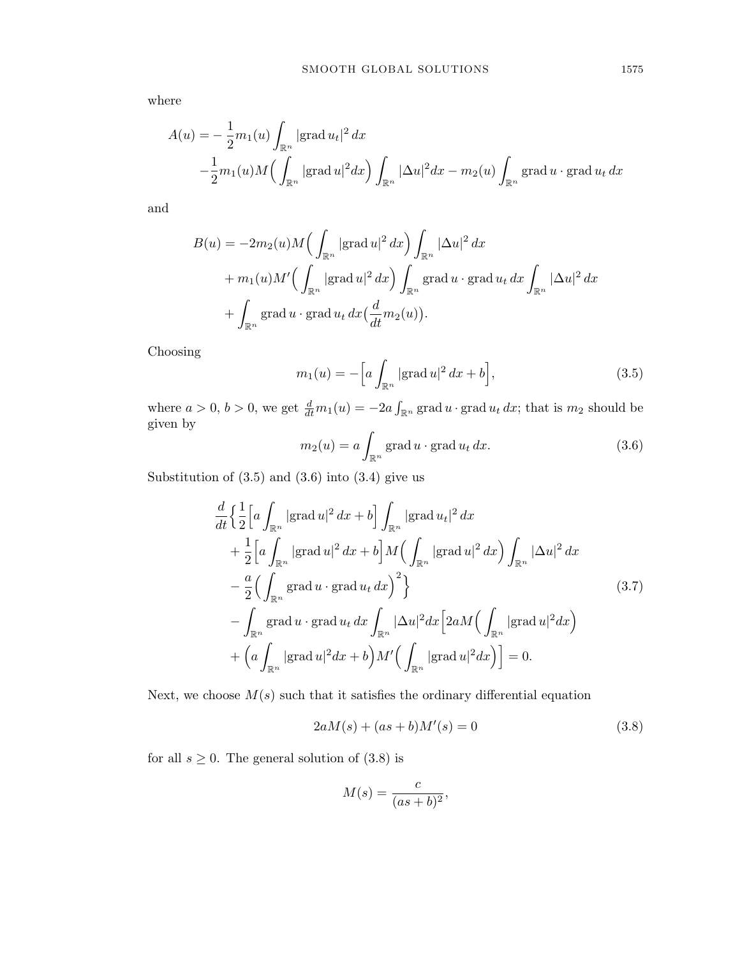where

$$
A(u) = -\frac{1}{2}m_1(u)\int_{\mathbb{R}^n} |\text{grad } u_t|^2 dx
$$
  

$$
-\frac{1}{2}m_1(u)M\left(\int_{\mathbb{R}^n} |\text{grad } u|^2 dx\right)\int_{\mathbb{R}^n} |\Delta u|^2 dx - m_2(u)\int_{\mathbb{R}^n} \text{grad } u \cdot \text{grad } u_t dx
$$

and

$$
B(u) = -2m_2(u)M\left(\int_{\mathbb{R}^n} |\text{grad } u|^2 dx\right) \int_{\mathbb{R}^n} |\Delta u|^2 dx
$$
  
+  $m_1(u)M'\left(\int_{\mathbb{R}^n} |\text{grad } u|^2 dx\right) \int_{\mathbb{R}^n} \text{grad } u \cdot \text{grad } u_t dx \int_{\mathbb{R}^n} |\Delta u|^2 dx$   
+  $\int_{\mathbb{R}^n} \text{grad } u \cdot \text{grad } u_t dx \left(\frac{d}{dt} m_2(u)\right).$ 

Choosing

$$
m_1(u) = -\left[a \int_{\mathbb{R}^n} |\text{grad } u|^2 dx + b\right],\tag{3.5}
$$

where  $a > 0$ ,  $b > 0$ , we get  $\frac{d}{dt}m_1(u) = -2a \int_{\mathbb{R}^n}$  grad  $u \cdot$  grad  $u_t dx$ ; that is  $m_2$  should be given by

$$
m_2(u) = a \int_{\mathbb{R}^n} \operatorname{grad} u \cdot \operatorname{grad} u_t \, dx. \tag{3.6}
$$

Substitution of  $(3.5)$  and  $(3.6)$  into  $(3.4)$  give us

$$
\frac{d}{dt} \left\{ \frac{1}{2} \left[ a \int_{\mathbb{R}^n} |\text{grad } u|^2 dx + b \right] \int_{\mathbb{R}^n} |\text{grad } u_t|^2 dx \right\}\n+ \frac{1}{2} \left[ a \int_{\mathbb{R}^n} |\text{grad } u|^2 dx + b \right] M \left( \int_{\mathbb{R}^n} |\text{grad } u|^2 dx \right) \int_{\mathbb{R}^n} |\Delta u|^2 dx \n- \frac{a}{2} \left( \int_{\mathbb{R}^n} \text{grad } u \cdot \text{grad } u_t dx \right)^2 \right\}\n- \int_{\mathbb{R}^n} \text{grad } u \cdot \text{grad } u_t dx \int_{\mathbb{R}^n} |\Delta u|^2 dx \left[ 2 a M \left( \int_{\mathbb{R}^n} |\text{grad } u|^2 dx \right) \right] \n+ \left( a \int_{\mathbb{R}^n} |\text{grad } u|^2 dx + b \right) M' \left( \int_{\mathbb{R}^n} |\text{grad } u|^2 dx \right) \right] = 0.
$$
\n(3.7)

Next, we choose  $M(s)$  such that it satisfies the ordinary differential equation

$$
2aM(s) + (as+b)M'(s) = 0
$$
\n(3.8)

for all  $s \geq 0$ . The general solution of  $(3.8)$  is

$$
M(s) = \frac{c}{(as+b)^2},
$$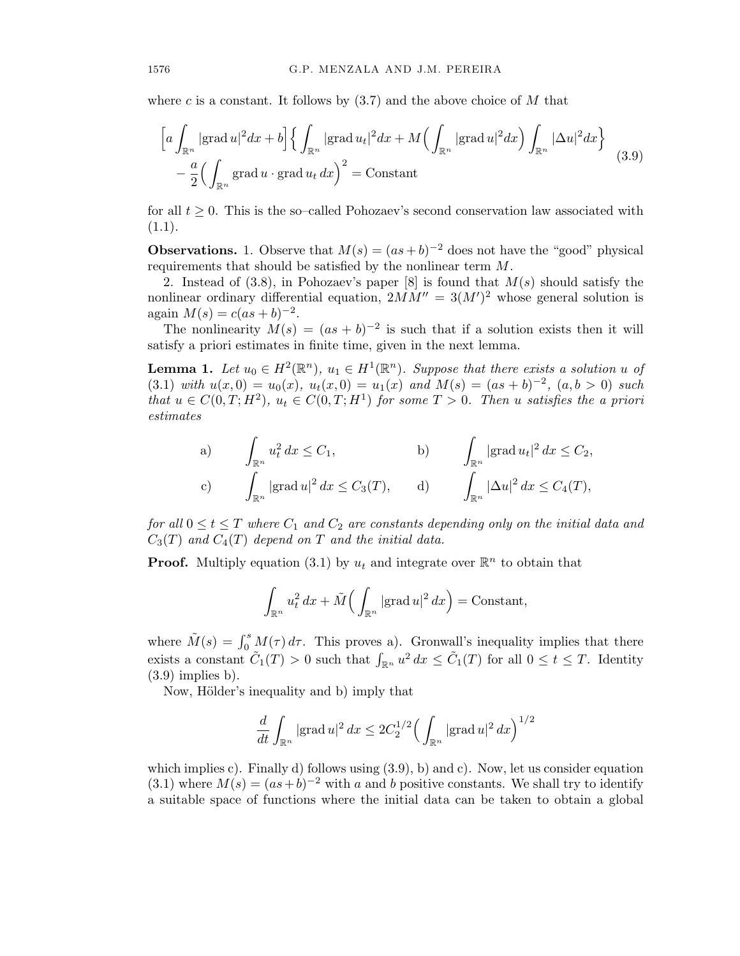where *c* is a constant. It follows by (3.7) and the above choice of *M* that

$$
\left[a\int_{\mathbb{R}^n}|\text{grad }u|^2dx+b\right]\left\{\int_{\mathbb{R}^n}|\text{grad }u_t|^2dx+M\left(\int_{\mathbb{R}^n}|\text{grad }u|^2dx\right)\int_{\mathbb{R}^n}|\Delta u|^2dx\right\}-\frac{a}{2}\left(\int_{\mathbb{R}^n}\text{grad }u\cdot\text{grad }u_t dx\right)^2=\text{Constant}
$$
\n(3.9)

for all  $t \geq 0$ . This is the so-called Pohozaev's second conservation law associated with  $(1.1).$ 

**Observations.** 1. Observe that  $M(s) = (as+b)^{-2}$  does not have the "good" physical requirements that should be satisfied by the nonlinear term *M*.

2. Instead of (3.8), in Pohozaev's paper [8] is found that *M*(*s*) should satisfy the nonlinear ordinary differential equation,  $2MM'' = 3(M')^2$  whose general solution is  $a$ gain  $M(s) = c(as + b)^{-2}$ .

The nonlinearity  $M(s) = (as + b)^{-2}$  is such that if a solution exists then it will satisfy a priori estimates in finite time, given in the next lemma.

**Lemma 1.** Let  $u_0 \in H^2(\mathbb{R}^n)$ ,  $u_1 \in H^1(\mathbb{R}^n)$ . Suppose that there exists a solution *u* of (3.1) with  $u(x,0) = u_0(x)$ ,  $u_t(x,0) = u_1(x)$  and  $M(s) = (as + b)^{-2}$ ,  $(a, b > 0)$  such that  $u \in C(0,T;H^2)$ ,  $u_t \in C(0,T;H^1)$  for some  $T > 0$ . Then u satisfies the a priori *estimates*

a) 
$$
\int_{\mathbb{R}^n} u_t^2 dx \le C_1,
$$
  
b) 
$$
\int_{\mathbb{R}^n} |\text{grad } u_t|^2 dx \le C_2,
$$
  
c) 
$$
\int_{\mathbb{R}^n} |\text{grad } u|^2 dx \le C_3(T),
$$
  
d) 
$$
\int_{\mathbb{R}^n} |\Delta u|^2 dx \le C_4(T),
$$

*for* all  $0 \le t \le T$  *where*  $C_1$  *and*  $C_2$  *are constants depending only on the initial data and*  $C_3(T)$  *and*  $C_4(T)$  *depend on T and the initial data.* 

**Proof.** Multiply equation (3.1) by  $u_t$  and integrate over  $\mathbb{R}^n$  to obtain that

$$
\int_{\mathbb{R}^n} u_t^2 dx + \tilde{M}\Big(\int_{\mathbb{R}^n} |\text{grad } u|^2 dx\Big) = \text{Constant},
$$

where  $\tilde{M}(s) = \int_0^s M(\tau) d\tau$ . This proves a). Gronwall's inequality implies that there exists a constant  $\tilde{C}_1(T) > 0$  such that  $\int_{\mathbb{R}^n} u^2 dx \leq \tilde{C}_1(T)$  for all  $0 \leq t \leq T$ . Identity  $(3.9)$  implies b).

Now, Hölder's inequality and b) imply that

$$
\frac{d}{dt} \int_{\mathbb{R}^n} |\mathrm{grad}\, u|^2\, dx \leq 2C_2^{1/2} \Big(\int_{\mathbb{R}^n} |\mathrm{grad}\, u|^2\, dx\Big)^{1/2}
$$

which implies c). Finally d) follows using  $(3.9)$ , b) and c). Now, let us consider equation  $(3.1)$  where  $M(s) = (as+b)^{-2}$  with *a* and *b* positive constants. We shall try to identify a suitable space of functions where the initial data can be taken to obtain a global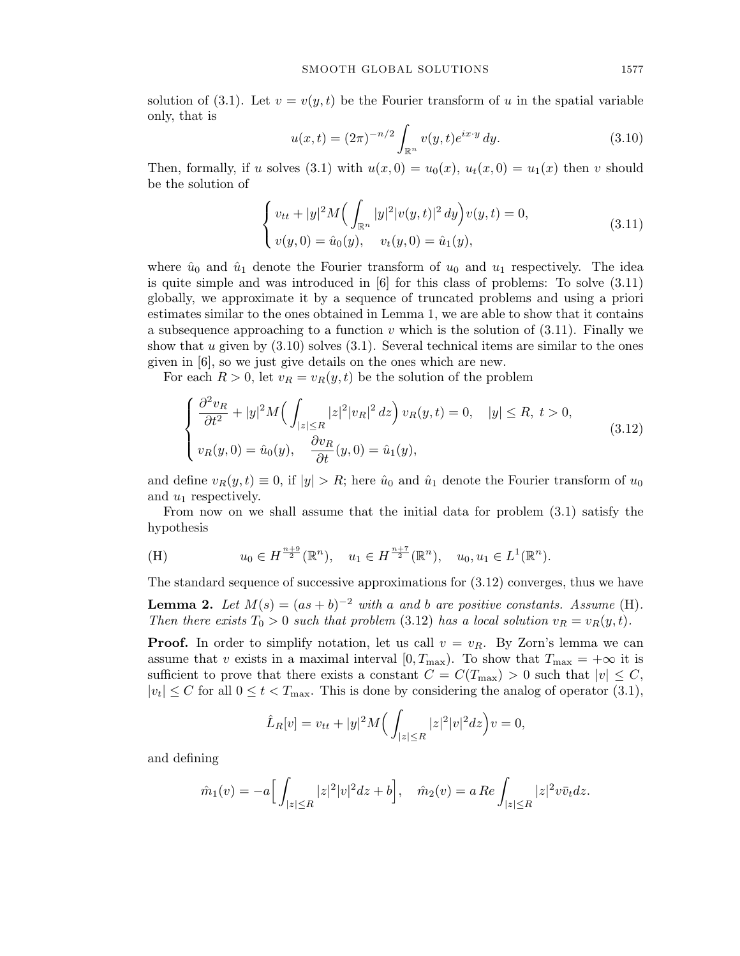solution of (3.1). Let  $v = v(y, t)$  be the Fourier transform of *u* in the spatial variable only, that is

$$
u(x,t) = (2\pi)^{-n/2} \int_{\mathbb{R}^n} v(y,t)e^{ix \cdot y} dy.
$$
 (3.10)

Then, formally, if *u* solves (3.1) with  $u(x, 0) = u_0(x)$ ,  $u_t(x, 0) = u_1(x)$  then *v* should be the solution of

$$
\begin{cases}\nv_{tt} + |y|^2 M\left(\int_{\mathbb{R}^n} |y|^2 |v(y,t)|^2 dy\right) v(y,t) = 0, \\
v(y,0) = \hat{u}_0(y), \quad v_t(y,0) = \hat{u}_1(y),\n\end{cases} \tag{3.11}
$$

where  $\hat{u}_0$  and  $\hat{u}_1$  denote the Fourier transform of  $u_0$  and  $u_1$  respectively. The idea is quite simple and was introduced in  $[6]$  for this class of problems: To solve  $(3.11)$ globally, we approximate it by a sequence of truncated problems and using a priori estimates similar to the ones obtained in Lemma 1, we are able to show that it contains a subsequence approaching to a function *v* which is the solution of (3.11). Finally we show that  $u$  given by  $(3.10)$  solves  $(3.1)$ . Several technical items are similar to the ones given in [6], so we just give details on the ones which are new.

For each  $R > 0$ , let  $v_R = v_R(y, t)$  be the solution of the problem

$$
\begin{cases}\n\frac{\partial^2 v_R}{\partial t^2} + |y|^2 M\left(\int_{|z|\leq R} |z|^2 |v_R|^2 dz\right) v_R(y,t) = 0, & |y| \leq R, \ t > 0, \\
v_R(y,0) = \hat{u}_0(y), & \frac{\partial v_R}{\partial t}(y,0) = \hat{u}_1(y),\n\end{cases} \tag{3.12}
$$

and define  $v_R(y,t) \equiv 0$ , if  $|y| > R$ ; here  $\hat{u}_0$  and  $\hat{u}_1$  denote the Fourier transform of  $u_0$ and *u*<sup>1</sup> respectively.

From now on we shall assume that the initial data for problem (3.1) satisfy the hypothesis

(H) 
$$
u_0 \in H^{\frac{n+9}{2}}(\mathbb{R}^n), \quad u_1 \in H^{\frac{n+7}{2}}(\mathbb{R}^n), \quad u_0, u_1 \in L^1(\mathbb{R}^n).
$$

The standard sequence of successive approximations for (3.12) converges, thus we have **Lemma 2.** Let  $M(s) = (as + b)^{-2}$  with a and b are positive constants. Assume (H).

*Then there exists*  $T_0 > 0$  *such that problem* (3.12) *has a local solution*  $v_R = v_R(y, t)$ *.* 

**Proof.** In order to simplify notation, let us call  $v = v_R$ . By Zorn's lemma we can assume that *v* exists in a maximal interval  $[0, T_{\text{max}})$ . To show that  $T_{\text{max}} = +\infty$  it is sufficient to prove that there exists a constant  $C = C(T_{\text{max}}) > 0$  such that  $|v| \leq C$ ,  $|v_t| \leq C$  for all  $0 \leq t < T_{\text{max}}$ . This is done by considering the analog of operator (3.1),

$$
\hat{L}_R[v] = v_{tt} + |y|^2 M \Big( \int_{|z| \le R} |z|^2 |v|^2 dz \Big) v = 0,
$$

and defining

$$
\hat{m}_1(v) = -a \Big[ \int_{|z| \le R} |z|^2 |v|^2 dz + b \Big], \quad \hat{m}_2(v) = a \, Re \int_{|z| \le R} |z|^2 v \bar{v}_t dz.
$$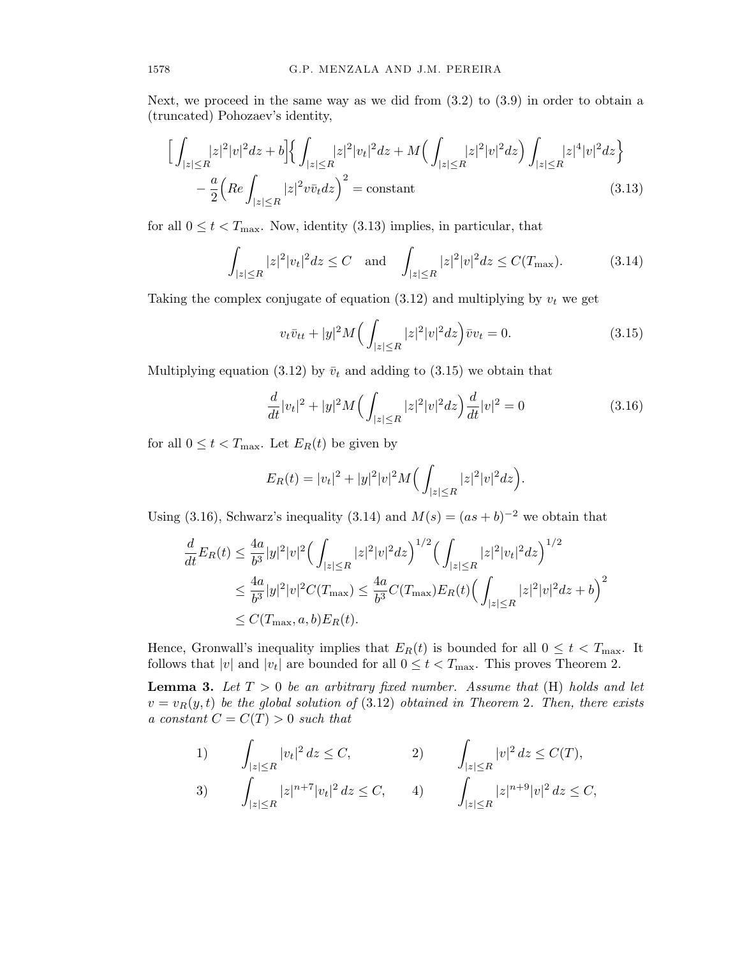Next, we proceed in the same way as we did from  $(3.2)$  to  $(3.9)$  in order to obtain a (truncated) Pohozaev's identity,

$$
\left[\int_{|z| \le R} |z|^2 |v|^2 dz + b\right] \left\{ \int_{|z| \le R} |z|^2 |v_t|^2 dz + M \left( \int_{|z| \le R} |z|^2 |v|^2 dz \right) \int_{|z| \le R} |z|^4 |v|^2 dz \right\} - \frac{a}{2} \left( Re \int_{|z| \le R} |z|^2 v \bar{v}_t dz \right)^2 = \text{constant} \tag{3.13}
$$

for all  $0 \le t < T_{\text{max}}$ . Now, identity (3.13) implies, in particular, that

$$
\int_{|z| \le R} |z|^2 |v_t|^2 dz \le C \quad \text{and} \quad \int_{|z| \le R} |z|^2 |v|^2 dz \le C(T_{\text{max}}). \tag{3.14}
$$

Taking the complex conjugate of equation  $(3.12)$  and multiplying by  $v_t$  we get

$$
v_t \bar{v}_{tt} + |y|^2 M \Big( \int_{|z| \le R} |z|^2 |v|^2 dz \Big) \bar{v} v_t = 0. \tag{3.15}
$$

Multiplying equation (3.12) by  $\bar{v}_t$  and adding to (3.15) we obtain that

$$
\frac{d}{dt}|v_t|^2 + |y|^2 M \left( \int_{|z| \le R} |z|^2 |v|^2 dz \right) \frac{d}{dt}|v|^2 = 0 \tag{3.16}
$$

for all  $0 \le t < T_{\text{max}}$ . Let  $E_R(t)$  be given by

$$
E_R(t) = |v_t|^2 + |y|^2 |v|^2 M \Big( \int_{|z| \le R} |z|^2 |v|^2 dz \Big).
$$

Using (3.16), Schwarz's inequality (3.14) and  $M(s) = (as + b)^{-2}$  we obtain that

$$
\frac{d}{dt}E_R(t) \le \frac{4a}{b^3}|y|^2|v|^2 \Big(\int_{|z| \le R} |z|^2|v|^2 dz\Big)^{1/2} \Big(\int_{|z| \le R} |z|^2|v_t|^2 dz\Big)^{1/2}
$$
\n
$$
\le \frac{4a}{b^3}|y|^2|v|^2 C(T_{\text{max}}) \le \frac{4a}{b^3} C(T_{\text{max}})E_R(t) \Big(\int_{|z| \le R} |z|^2|v|^2 dz + b\Big)^2
$$
\n
$$
\le C(T_{\text{max}}, a, b)E_R(t).
$$

Hence, Gronwall's inequality implies that  $E_R(t)$  is bounded for all  $0 \le t < T_{\text{max}}$ . It follows that  $|v|$  and  $|v_t|$  are bounded for all  $0 \le t < T_{\text{max}}$ . This proves Theorem 2.

**Lemma 3.** Let  $T > 0$  be an arbitrary fixed number. Assume that  $(H)$  holds and let  $v = v_R(y, t)$  *be the global solution of* (3.12) *obtained in Theorem 2. Then, there exists a constant*  $C = C(T) > 0$  *such that* 

1) 
$$
\int_{|z| \le R} |v_t|^2 dz \le C, \qquad 2) \qquad \int_{|z| \le R} |v|^2 dz \le C(T),
$$
  
3) 
$$
\int_{|z| \le R} |z|^{n+7} |v_t|^2 dz \le C, \qquad 4) \qquad \int_{|z| \le R} |z|^{n+9} |v|^2 dz \le C,
$$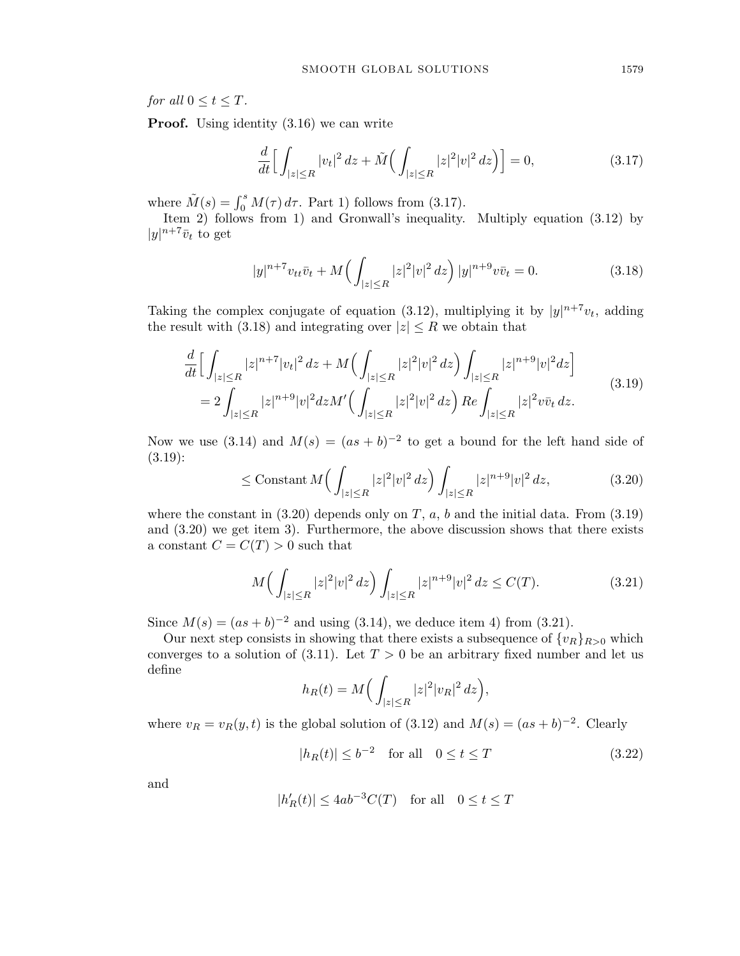*for all*  $0 \le t \le T$ *.* 

**Proof.** Using identity  $(3.16)$  we can write

$$
\frac{d}{dt} \Big[ \int_{|z| \le R} |v_t|^2 \, dz + \tilde{M} \Big( \int_{|z| \le R} |z|^2 |v|^2 \, dz \Big) \Big] = 0,\tag{3.17}
$$

where  $\tilde{M}(s) = \int_0^s M(\tau) d\tau$ . Part 1) follows from (3.17).

Item 2) follows from 1) and Gronwall's inequality. Multiply equation (3.12) by  $|y|^{n+7}\overline{v}_t$  to get

$$
|y|^{n+7}v_{tt}\bar{v}_t + M\Big(\int_{|z|\leq R}|z|^2|v|^2\,dz\Big)\,|y|^{n+9}v\bar{v}_t = 0.\tag{3.18}
$$

Taking the complex conjugate of equation (3.12), multiplying it by  $|y|^{n+7}v_t$ , adding the result with (3.18) and integrating over  $|z| \leq R$  we obtain that

$$
\frac{d}{dt} \Big[ \int_{|z| \le R} |z|^{n+7} |v_t|^2 \, dz + M \Big( \int_{|z| \le R} |z|^2 |v|^2 \, dz \Big) \int_{|z| \le R} |z|^{n+9} |v|^2 dz \Big] \n= 2 \int_{|z| \le R} |z|^{n+9} |v|^2 dz M' \Big( \int_{|z| \le R} |z|^2 |v|^2 \, dz \Big) \, Re \int_{|z| \le R} |z|^2 v \bar{v}_t \, dz.
$$
\n(3.19)

Now we use (3.14) and  $M(s) = (as + b)^{-2}$  to get a bound for the left hand side of (3.19):

$$
\leq \text{Constant } M\Big(\int_{|z| \leq R} |z|^2 |v|^2 \, dz\Big) \int_{|z| \leq R} |z|^{n+9} |v|^2 \, dz,\tag{3.20}
$$

where the constant in  $(3.20)$  depends only on *T*, *a*, *b* and the initial data. From  $(3.19)$ and (3.20) we get item 3). Furthermore, the above discussion shows that there exists a constant  $C = C(T) > 0$  such that

$$
M\Big(\int_{|z|\le R}|z|^2|v|^2\,dz\Big)\int_{|z|\le R}|z|^{n+9}|v|^2\,dz\le C(T). \tag{3.21}
$$

Since  $M(s) = (as + b)^{-2}$  and using (3.14), we deduce item 4) from (3.21).

Our next step consists in showing that there exists a subsequence of  $\{v_R\}_{R>0}$  which converges to a solution of  $(3.11)$ . Let  $T > 0$  be an arbitrary fixed number and let us define

$$
h_R(t) = M\Big(\int_{|z| \le R} |z|^2 |v_R|^2 dz\Big),\,
$$

where  $v_R = v_R(y, t)$  is the global solution of (3.12) and  $M(s) = (as + b)^{-2}$ . Clearly

$$
|h_R(t)| \le b^{-2} \quad \text{for all} \quad 0 \le t \le T \tag{3.22}
$$

and

$$
|h'_R(t)| \le 4ab^{-3}C(T) \quad \text{for all} \quad 0 \le t \le T
$$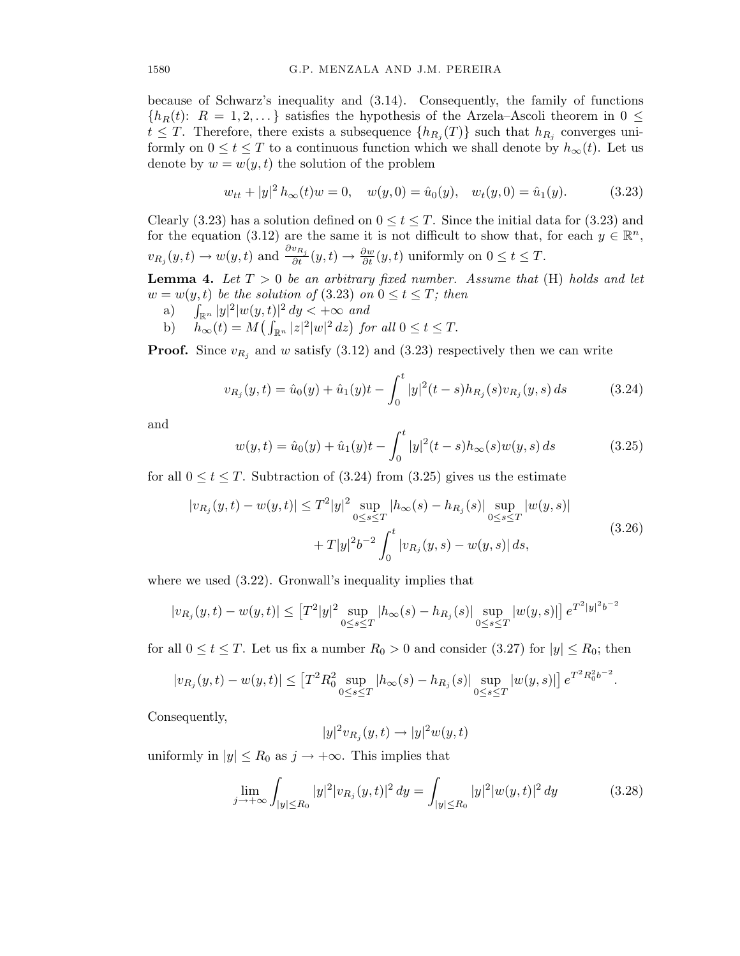because of Schwarz's inequality and (3.14). Consequently, the family of functions  ${h_R(t): R = 1, 2, \ldots}$  satisfies the hypothesis of the Arzela–Ascoli theorem in  $0 \le$  $t \leq T$ . Therefore, there exists a subsequence  $\{h_{R_j}(T)\}\$  such that  $h_{R_j}$  converges uniformly on  $0 \le t \le T$  to a continuous function which we shall denote by  $h_{\infty}(t)$ . Let us denote by  $w = w(y, t)$  the solution of the problem

$$
w_{tt} + |y|^2 h_{\infty}(t)w = 0, \quad w(y,0) = \hat{u}_0(y), \quad w_t(y,0) = \hat{u}_1(y). \tag{3.23}
$$

Clearly (3.23) has a solution defined on  $0 \le t \le T$ . Since the initial data for (3.23) and for the equation (3.12) are the same it is not difficult to show that, for each  $y \in \mathbb{R}^n$ ,  $v_{R_j}(y,t) \to w(y,t)$  and  $\frac{\partial v_{R_j}}{\partial t}(y,t) \to \frac{\partial w}{\partial t}(y,t)$  uniformly on  $0 \le t \le T$ .

**Lemma 4.** Let  $T > 0$  be an arbitrary fixed number. Assume that  $(H)$  holds and let  $w = w(y, t)$  *be the solution of* (3.23) *on*  $0 \le t \le T$ ; *then* 

- a)  $\int_{\mathbb{R}^n} |y|^2 |w(y,t)|^2 dy < +\infty$  and
- b)  $h_{\infty}(t) = M\left(\int_{\mathbb{R}^n} |z|^2 |w|^2 dz\right)$  for all  $0 \le t \le T$ .

**Proof.** Since  $v_{R_j}$  and *w* satisfy (3.12) and (3.23) respectively then we can write

$$
v_{R_j}(y,t) = \hat{u}_0(y) + \hat{u}_1(y)t - \int_0^t |y|^2(t-s)h_{R_j}(s)v_{R_j}(y,s) ds \qquad (3.24)
$$

and

$$
w(y,t) = \hat{u}_0(y) + \hat{u}_1(y)t - \int_0^t |y|^2(t-s)h_\infty(s)w(y,s) ds \qquad (3.25)
$$

for all  $0 \le t \le T$ . Subtraction of  $(3.24)$  from  $(3.25)$  gives us the estimate

$$
|v_{R_j}(y,t) - w(y,t)| \le T^2 |y|^2 \sup_{0 \le s \le T} |h_\infty(s) - h_{R_j}(s)| \sup_{0 \le s \le T} |w(y,s)|
$$
  
+  $T|y|^2 b^{-2} \int_0^t |v_{R_j}(y,s) - w(y,s)| ds,$  (3.26)

where we used  $(3.22)$ . Gronwall's inequality implies that

$$
|v_{R_j}(y,t) - w(y,t)| \leq \left[T^2|y|^2 \sup_{0 \leq s \leq T} |h_\infty(s) - h_{R_j}(s)| \sup_{0 \leq s \leq T} |w(y,s)|\right] e^{T^2|y|^2 b^{-2}}
$$

for all  $0 \le t \le T$ . Let us fix a number  $R_0 > 0$  and consider (3.27) for  $|y| \le R_0$ ; then

$$
|v_{R_j}(y,t) - w(y,t)| \le \left[T^2 R_0^2 \sup_{0 \le s \le T} |h_\infty(s) - h_{R_j}(s)| \sup_{0 \le s \le T} |w(y,s)|\right] e^{T^2 R_0^2 b^{-2}}.
$$

Consequently,

$$
|y|^2 v_{R_j}(y,t) \to |y|^2 w(y,t)
$$

uniformly in  $|y| \le R_0$  as  $j \to +\infty$ . This implies that

$$
\lim_{j \to +\infty} \int_{|y| \le R_0} |y|^2 |v_{R_j}(y, t)|^2 dy = \int_{|y| \le R_0} |y|^2 |w(y, t)|^2 dy \tag{3.28}
$$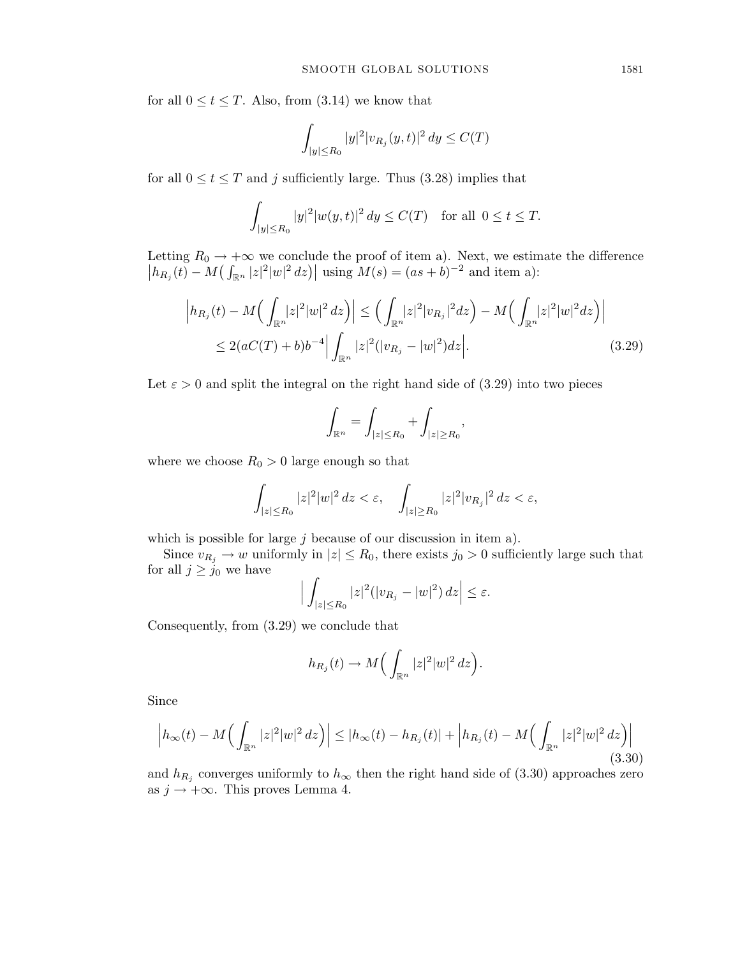for all  $0 \le t \le T$ . Also, from (3.14) we know that

$$
\int_{|y|\leq R_0}|y|^2|v_{R_j}(y,t)|^2\,dy\leq C(T)
$$

for all  $0 \le t \le T$  and *j* sufficiently large. Thus (3.28) implies that

$$
\int_{|y| \le R_0} |y|^2 |w(y, t)|^2 dy \le C(T) \quad \text{for all } 0 \le t \le T.
$$

Letting  $R_0 \to +\infty$  we conclude the proof of item a). Next, we estimate the difference  $|h_{R_j}(t) - M(\int_{\mathbb{R}^n} |z|^2 |w|^2 dz)|$  using  $M(s) = (as+b)^{-2}$  and item a):

$$
\left| h_{R_j}(t) - M \Big( \int_{\mathbb{R}^n} |z|^2 |w|^2 \, dz \Big) \right| \le \left( \int_{\mathbb{R}^n} |z|^2 |v_{R_j}|^2 dz \right) - M \Big( \int_{\mathbb{R}^n} |z|^2 |w|^2 dz \Big) \Big|
$$
  
\n
$$
\le 2(aC(T) + b)b^{-4} \Big| \int_{\mathbb{R}^n} |z|^2 (|v_{R_j} - |w|^2) dz \Big|. \tag{3.29}
$$

Let  $\varepsilon > 0$  and split the integral on the right hand side of (3.29) into two pieces

$$
\int_{\mathbb{R}^n} = \int_{|z| \le R_0} + \int_{|z| \ge R_0},
$$

where we choose  $R_0 > 0$  large enough so that

$$
\int_{|z|\leq R_0}|z|^2|w|^2\,dz<\varepsilon,\quad \int_{|z|\geq R_0}|z|^2|v_{R_j}|^2\,dz<\varepsilon,
$$

which is possible for large *j* because of our discussion in item a).

Since  $v_{R_j} \to w$  uniformly in  $|z| \le R_0$ , there exists  $j_0 > 0$  sufficiently large such that for all  $j \geq j_0$  we have

$$
\Big|\int_{|z|\le R_0}|z|^2(|v_{R_j}-|w|^2)\,dz\Big|\le \varepsilon.
$$

Consequently, from (3.29) we conclude that

$$
h_{R_j}(t) \to M\Big(\int_{\mathbb{R}^n} |z|^2|w|^2\,dz\Big).
$$

Since

$$
\left| h_{\infty}(t) - M \Big( \int_{\mathbb{R}^n} |z|^2 |w|^2 \, dz \Big) \right| \le |h_{\infty}(t) - h_{R_j}(t)| + \left| h_{R_j}(t) - M \Big( \int_{\mathbb{R}^n} |z|^2 |w|^2 \, dz \Big) \right| \tag{3.30}
$$

and  $h_{R_j}$  converges uniformly to  $h_{\infty}$  then the right hand side of (3.30) approaches zero as  $j \rightarrow +\infty$ . This proves Lemma 4.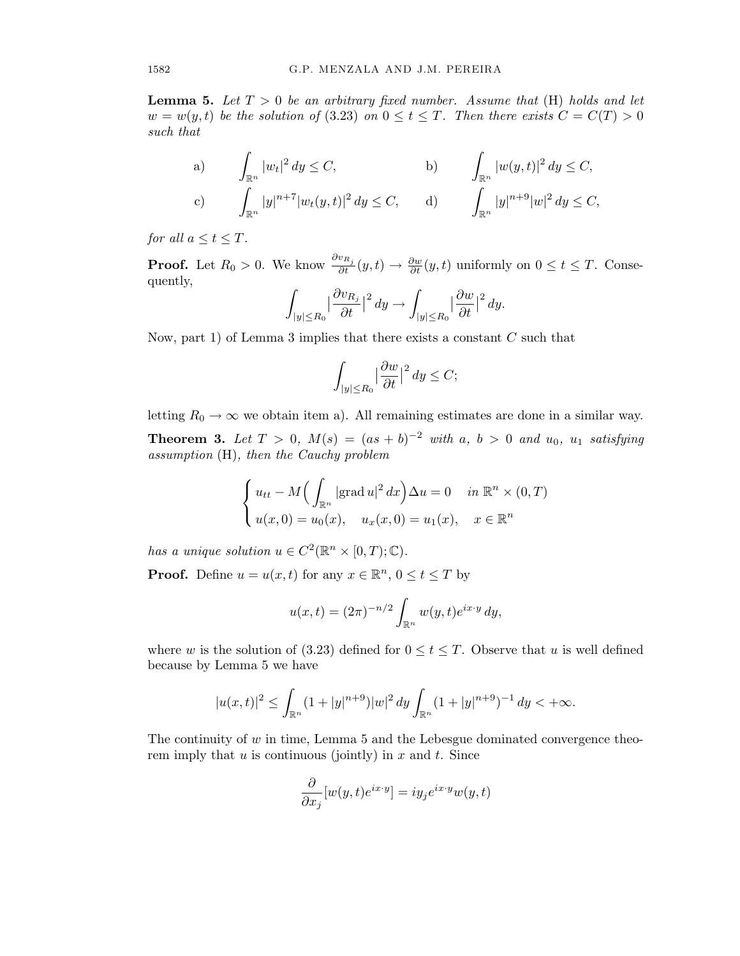Lemma 5. *Let T >* 0 *be an arbitrary fixed number. Assume that* (H) *holds and let*  $w = w(y, t)$  *be the solution of* (3.23) *on*  $0 \le t \le T$ . Then there exists  $C = C(T) > 0$ *such that*

a) 
$$
\int_{\mathbb{R}^n} |w_t|^2 dy \le C
$$
, b)  $\int_{\mathbb{R}^n} |w(y,t)|^2 dy \le C$ ,  
c)  $\int_{\mathbb{R}^n} |y|^{n+7} |w_t(y,t)|^2 dy \le C$ , d)  $\int_{\mathbb{R}^n} |y|^{n+9} |w|^2 dy \le C$ ,

*for all*  $a \le t \le T$ *.* 

**Proof.** Let  $R_0 > 0$ . We know  $\frac{\partial v_{R_j}}{\partial t}(y,t) \to \frac{\partial w}{\partial t}(y,t)$  uniformly on  $0 \le t \le T$ . Consequently,

$$
\int_{|y| \le R_0} \left|\frac{\partial v_{R_j}}{\partial t}\right|^2 dy \to \int_{|y| \le R_0} \left|\frac{\partial w}{\partial t}\right|^2 dy.
$$

Now, part 1) of Lemma 3 implies that there exists a constant *C* such that

$$
\int_{|y| \le R_0} \left|\frac{\partial w}{\partial t}\right|^2 dy \le C;
$$

letting  $R_0 \to \infty$  we obtain item a). All remaining estimates are done in a similar way. **Theorem 3.** Let  $T > 0$ ,  $M(s) = (as + b)^{-2}$  with a,  $b > 0$  and  $u_0$ ,  $u_1$  satisfying *assumption* (H)*, then the Cauchy problem*

$$
\begin{cases} u_{tt} - M\Big(\int_{\mathbb{R}^n} |\text{grad } u|^2 dx\Big) \Delta u = 0 & \text{in } \mathbb{R}^n \times (0, T) \\ u(x, 0) = u_0(x), \quad u_x(x, 0) = u_1(x), \quad x \in \mathbb{R}^n \end{cases}
$$

*has a unique solution*  $u \in C^2(\mathbb{R}^n \times [0, T); \mathbb{C})$ *.* 

**Proof.** Define  $u = u(x, t)$  for any  $x \in \mathbb{R}^n$ ,  $0 \le t \le T$  by

$$
u(x,t) = (2\pi)^{-n/2} \int_{\mathbb{R}^n} w(y,t) e^{ix \cdot y} dy,
$$

where *w* is the solution of (3.23) defined for  $0 \le t \le T$ . Observe that *u* is well defined because by Lemma 5 we have

$$
|u(x,t)|^2\leq \int_{\mathbb{R}^n}(1+|y|^{n+9})|w|^2\,dy\int_{\mathbb{R}^n}(1+|y|^{n+9})^{-1}\,dy<+\infty.
$$

The continuity of *w* in time, Lemma 5 and the Lebesgue dominated convergence theorem imply that *u* is continuous (jointly) in *x* and *t*. Since

$$
\frac{\partial}{\partial x_j}[w(y,t)e^{ix\cdot y}] = iy_j e^{ix\cdot y}w(y,t)
$$